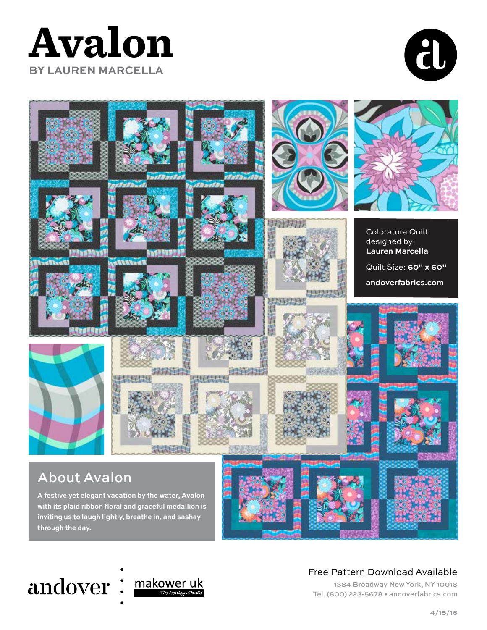### **Avalon BY LAUREN MARCELLA**







#### Free Pattern Download Available

1384 Broadway New York, NY 10018 Tel. (800) 223-5678 • andoverfabrics.com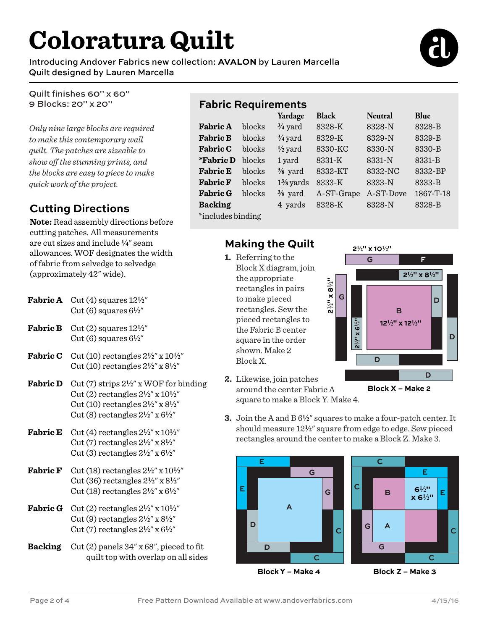## **Coloratura Quilt**

Introducing Andover Fabrics new collection: **AVALON** by Lauren Marcella Quilt designed by Lauren Marcella



Quilt finishes 60" x 60" 9 Blocks: 20" x 20"

*Only nine large blocks are required to make this contemporary wall quilt. The patches are sizeable to show off the stunning prints, and the blocks are easy to piece to make quick work of the project.*

#### **Cutting Directions**

**Note:** Read assembly directions before cutting patches. All measurements are cut sizes and include **4**" seam allowances. WOF designates the width of fabric from selvedge to selvedge (approximately 42" wide).

- **Fabric A** Cut  $(4)$  squares  $12\frac{1}{2}$ " Cut (6) squares 6**2**"
- **Fabric B** Cut  $(2)$  squares  $12\frac{1}{2}$ " Cut  $(6)$  squares  $6\frac{1}{2}$ "
- **Fabric C** Cut (10) rectangles  $2\frac{1}{2}$ " x  $10\frac{1}{2}$ " Cut (10) rectangles 2**2**" x 8**2**"
- **Fabric D** Cut (7) strips  $2\frac{1}{2}$ " x WOF for binding Cut (2) rectangles 2**2**" x 10**2**" Cut (10) rectangles 2**2**" x 8**2**" Cut (8) rectangles 2**2**" x 6**2**"
- **Fabric E** Cut (4) rectangles  $2\frac{1}{2}$ " x  $10\frac{1}{2}$ " Cut (7) rectangles 2**2**" x 8**2**" Cut (3) rectangles 2**2**" x 6**2**"
- **Fabric F** Cut (18) rectangles  $2\frac{1}{2}$ " x  $10\frac{1}{2}$ " Cut (36) rectangles 2**2**" x 8**2**" Cut (18) rectangles 2**2**" x 6**2**"
- **Fabric G** Cut (2) rectangles  $2\frac{1}{2}$ " x  $10\frac{1}{2}$ " Cut (9) rectangles 2**2**" x 8**2**" Cut (7) rectangles 2**2**" x 6**2**"
- **Backing** Cut (2) panels 34" x 68", pieced to fit quilt top with overlap on all sides

#### **Fabric Requirements**

|                   |        | Yardage              | <b>Black</b> | <b>Neutral</b> | Blue      |
|-------------------|--------|----------------------|--------------|----------------|-----------|
| <b>Fabric A</b>   | blocks | $\frac{3}{4}$ yard   | 8328-K       | 8328-N         | 8328-B    |
| <b>Fabric B</b>   | blocks | $\frac{3}{4}$ yard   | 8329-K       | 8329-N         | 8329-B    |
| <b>Fabric C</b>   | blocks | $\frac{1}{2}$ yard   | 8330-KC      | 8330-N         | 8330-B    |
| <i>*</i> Fabric D | blocks | 1 yard               | 8331-K       | 8331-N         | 8331-B    |
| <b>Fabric E</b>   | blocks | $\frac{3}{8}$ yard   | 8332-KT      | 8332-NC        | 8332-BP   |
| <b>Fabric F</b>   | blocks | $1\frac{3}{8}$ yards | 8333-K       | 8333-N         | 8333-B    |
| <b>Fabric G</b>   | blocks | $\frac{3}{8}$ yard   | A-ST-Grape   | A-ST-Dove      | 1867-T-18 |
| <b>Backing</b>    |        | 4 yards              | 8328-K       | 8328-N         | 8328-B    |
| *includes binding |        |                      |              |                |           |

#### **Making the Quilt**

**1.** Referring to the Block X diagram, join the appropriate rectangles in pairs to make pieced rectangles. Sew the pieced rectangles to the Fabric B center square in the order shown. Make 2 Block X.



**2.** Likewise, join patches around the center Fabric A square to make a Block Y. Make 4.

**Block X – Make 2**

**3.** Join the A and B 6**2**" squares to make a four-patch center. It should measure 12**2**" square from edge to edge. Sew pieced

rectangles around the center to make a Block Z. Make 3.



**Block Y – Make 4**

**Block Z – Make 3**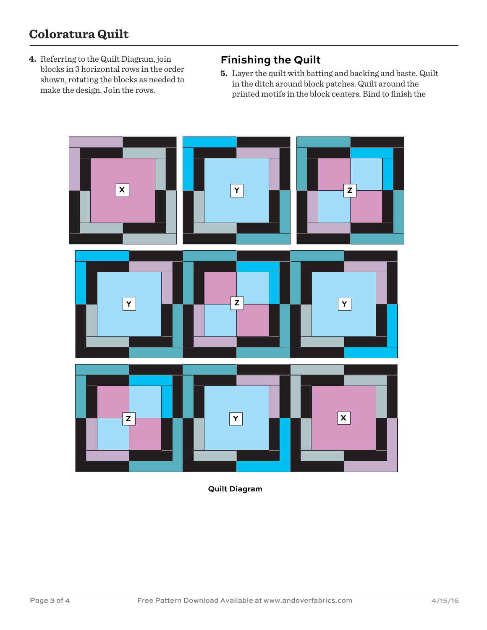#### **Coloratura Quilt**

**4.** Referring to the Quilt Diagram, join blocks in 3 horizontal rows in the order shown, rotating the blocks as needed to make the design. Join the rows.

#### **Finishing the Quilt**

**5.** Layer the quilt with batting and backing and baste. Quilt in the ditch around block patches. Quilt around the printed motifs in the block centers. Bind to finish the



**Quilt Diagram**